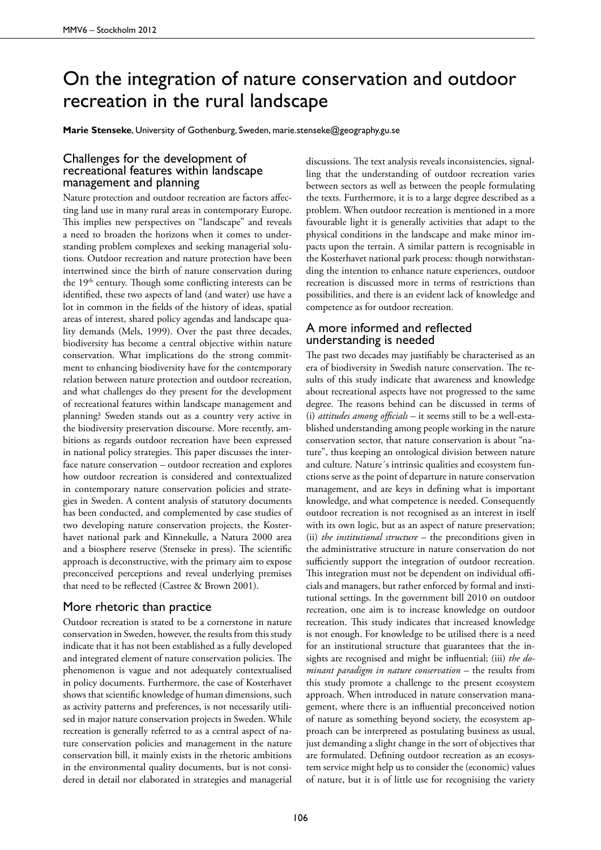## On the integration of nature conservation and outdoor recreation in the rural landscape

**Marie Stenseke**, University of Gothenburg, Sweden, marie.stenseke@geography.gu.se

## Challenges for the development of recreational features within landscape management and planning

Nature protection and outdoor recreation are factors affecting land use in many rural areas in contemporary Europe. This implies new perspectives on "landscape" and reveals a need to broaden the horizons when it comes to understanding problem complexes and seeking managerial solutions. Outdoor recreation and nature protection have been intertwined since the birth of nature conservation during the 19<sup>th</sup> century. Though some conflicting interests can be identified, these two aspects of land (and water) use have a lot in common in the fields of the history of ideas, spatial areas of interest, shared policy agendas and landscape quality demands (Mels, 1999). Over the past three decades, biodiversity has become a central objective within nature conservation. What implications do the strong commitment to enhancing biodiversity have for the contemporary relation between nature protection and outdoor recreation, and what challenges do they present for the development of recreational features within landscape management and planning? Sweden stands out as a country very active in the biodiversity preservation discourse. More recently, ambitions as regards outdoor recreation have been expressed in national policy strategies. This paper discusses the interface nature conservation – outdoor recreation and explores how outdoor recreation is considered and contextualized in contemporary nature conservation policies and strategies in Sweden. A content analysis of statutory documents has been conducted, and complemented by case studies of two developing nature conservation projects, the Kosterhavet national park and Kinnekulle, a Natura 2000 area and a biosphere reserve (Stenseke in press). The scientific approach is deconstructive, with the primary aim to expose preconceived perceptions and reveal underlying premises that need to be reflected (Castree & Brown 2001).

## More rhetoric than practice

Outdoor recreation is stated to be a cornerstone in nature conservation in Sweden, however, the results from this study indicate that it has not been established as a fully developed and integrated element of nature conservation policies. The phenomenon is vague and not adequately contextualised in policy documents. Furthermore, the case of Kosterhavet shows that scientific knowledge of human dimensions, such as activity patterns and preferences, is not necessarily utilised in major nature conservation projects in Sweden. While recreation is generally referred to as a central aspect of nature conservation policies and management in the nature conservation bill, it mainly exists in the rhetoric ambitions in the environmental quality documents, but is not considered in detail nor elaborated in strategies and managerial

discussions. The text analysis reveals inconsistencies, signalling that the understanding of outdoor recreation varies between sectors as well as between the people formulating the texts. Furthermore, it is to a large degree described as a problem. When outdoor recreation is mentioned in a more favourable light it is generally activities that adapt to the physical conditions in the landscape and make minor impacts upon the terrain. A similar pattern is recognisable in the Kosterhavet national park process: though notwithstanding the intention to enhance nature experiences, outdoor recreation is discussed more in terms of restrictions than possibilities, and there is an evident lack of knowledge and competence as for outdoor recreation.

## A more informed and reflected understanding is needed

The past two decades may justifiably be characterised as an era of biodiversity in Swedish nature conservation. The results of this study indicate that awareness and knowledge about recreational aspects have not progressed to the same degree. The reasons behind can be discussed in terms of (i) *attitudes among officials* – it seems still to be a well-established understanding among people working in the nature conservation sector, that nature conservation is about "nature", thus keeping an ontological division between nature and culture. Nature´s intrinsic qualities and ecosystem functions serve as the point of departure in nature conservation management, and are keys in defining what is important knowledge, and what competence is needed. Consequently outdoor recreation is not recognised as an interest in itself with its own logic, but as an aspect of nature preservation; (ii) *the institutional structure* – the preconditions given in the administrative structure in nature conservation do not sufficiently support the integration of outdoor recreation. This integration must not be dependent on individual officials and managers, but rather enforced by formal and institutional settings. In the government bill 2010 on outdoor recreation, one aim is to increase knowledge on outdoor recreation. This study indicates that increased knowledge is not enough. For knowledge to be utilised there is a need for an institutional structure that guarantees that the insights are recognised and might be influential; (iii) *the dominant paradigm in nature conservation* – the results from this study promote a challenge to the present ecosystem approach. When introduced in nature conservation management, where there is an influential preconceived notion of nature as something beyond society, the ecosystem approach can be interpreted as postulating business as usual, just demanding a slight change in the sort of objectives that are formulated. Defining outdoor recreation as an ecosystem service might help us to consider the (economic) values of nature, but it is of little use for recognising the variety